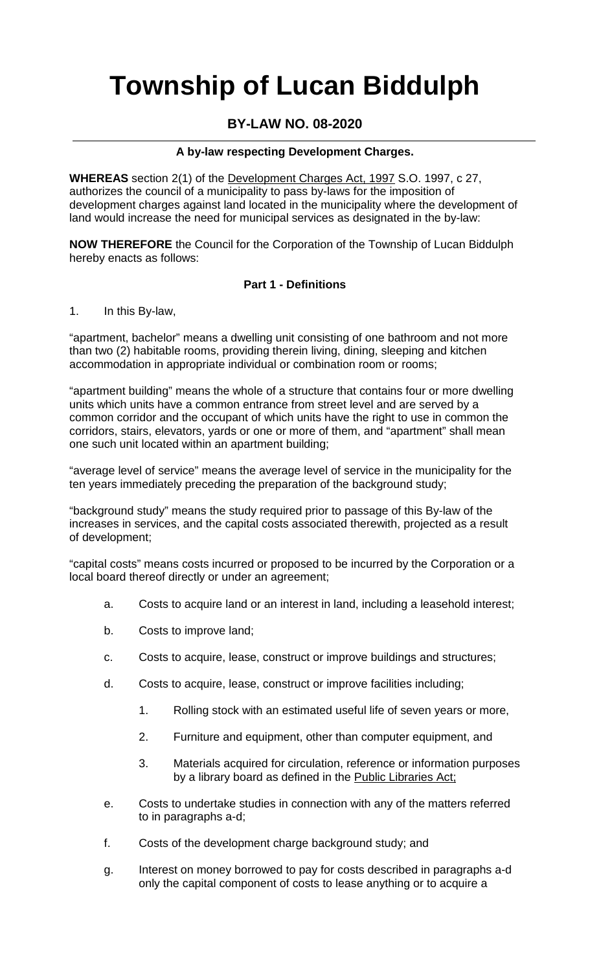# **Township of Lucan Biddulph**

# **BY-LAW NO. 08-2020**

# **A by-law respecting Development Charges.**

**WHEREAS** section 2(1) of the Development Charges Act, 1997 S.O. 1997, c 27, authorizes the council of a municipality to pass by-laws for the imposition of development charges against land located in the municipality where the development of land would increase the need for municipal services as designated in the by-law:

**NOW THEREFORE** the Council for the Corporation of the Township of Lucan Biddulph hereby enacts as follows:

#### **Part 1 - Definitions**

1. In this By-law,

"apartment, bachelor" means a dwelling unit consisting of one bathroom and not more than two (2) habitable rooms, providing therein living, dining, sleeping and kitchen accommodation in appropriate individual or combination room or rooms;

"apartment building" means the whole of a structure that contains four or more dwelling units which units have a common entrance from street level and are served by a common corridor and the occupant of which units have the right to use in common the corridors, stairs, elevators, yards or one or more of them, and "apartment" shall mean one such unit located within an apartment building;

"average level of service" means the average level of service in the municipality for the ten years immediately preceding the preparation of the background study;

"background study" means the study required prior to passage of this By-law of the increases in services, and the capital costs associated therewith, projected as a result of development;

"capital costs" means costs incurred or proposed to be incurred by the Corporation or a local board thereof directly or under an agreement;

- a. Costs to acquire land or an interest in land, including a leasehold interest;
- b. Costs to improve land;
- c. Costs to acquire, lease, construct or improve buildings and structures;
- d. Costs to acquire, lease, construct or improve facilities including;
	- 1. Rolling stock with an estimated useful life of seven years or more,
	- 2. Furniture and equipment, other than computer equipment, and
	- 3. Materials acquired for circulation, reference or information purposes by a library board as defined in the Public Libraries Act;
- e. Costs to undertake studies in connection with any of the matters referred to in paragraphs a-d;
- f. Costs of the development charge background study; and
- g. Interest on money borrowed to pay for costs described in paragraphs a-d only the capital component of costs to lease anything or to acquire a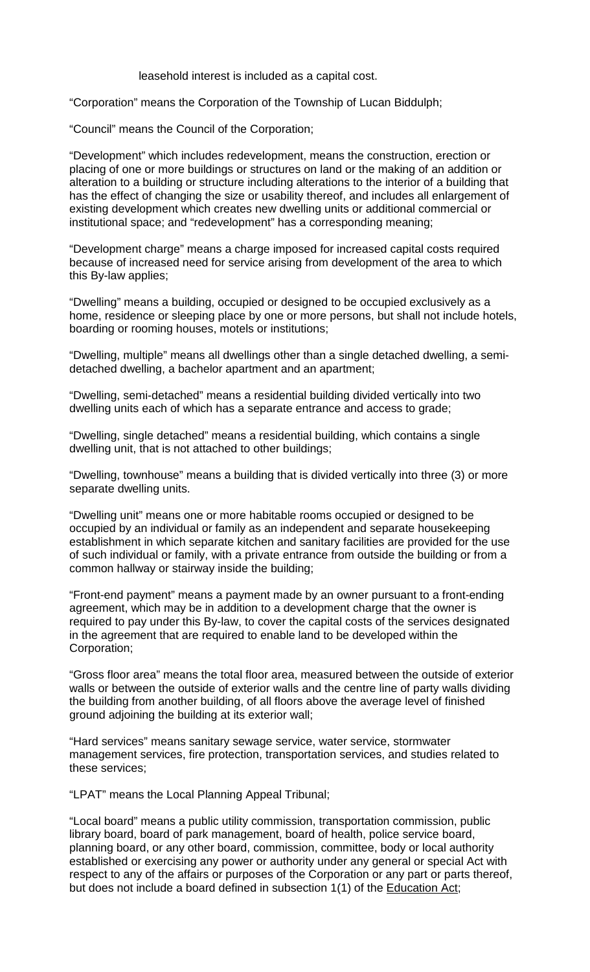leasehold interest is included as a capital cost.

"Corporation" means the Corporation of the Township of Lucan Biddulph;

"Council" means the Council of the Corporation;

"Development" which includes redevelopment, means the construction, erection or placing of one or more buildings or structures on land or the making of an addition or alteration to a building or structure including alterations to the interior of a building that has the effect of changing the size or usability thereof, and includes all enlargement of existing development which creates new dwelling units or additional commercial or institutional space; and "redevelopment" has a corresponding meaning;

"Development charge" means a charge imposed for increased capital costs required because of increased need for service arising from development of the area to which this By-law applies;

"Dwelling" means a building, occupied or designed to be occupied exclusively as a home, residence or sleeping place by one or more persons, but shall not include hotels, boarding or rooming houses, motels or institutions;

"Dwelling, multiple" means all dwellings other than a single detached dwelling, a semidetached dwelling, a bachelor apartment and an apartment;

"Dwelling, semi-detached" means a residential building divided vertically into two dwelling units each of which has a separate entrance and access to grade;

"Dwelling, single detached" means a residential building, which contains a single dwelling unit, that is not attached to other buildings;

"Dwelling, townhouse" means a building that is divided vertically into three (3) or more separate dwelling units.

"Dwelling unit" means one or more habitable rooms occupied or designed to be occupied by an individual or family as an independent and separate housekeeping establishment in which separate kitchen and sanitary facilities are provided for the use of such individual or family, with a private entrance from outside the building or from a common hallway or stairway inside the building;

"Front-end payment" means a payment made by an owner pursuant to a front-ending agreement, which may be in addition to a development charge that the owner is required to pay under this By-law, to cover the capital costs of the services designated in the agreement that are required to enable land to be developed within the Corporation;

"Gross floor area" means the total floor area, measured between the outside of exterior walls or between the outside of exterior walls and the centre line of party walls dividing the building from another building, of all floors above the average level of finished ground adjoining the building at its exterior wall;

"Hard services" means sanitary sewage service, water service, stormwater management services, fire protection, transportation services, and studies related to these services;

"LPAT" means the Local Planning Appeal Tribunal;

"Local board" means a public utility commission, transportation commission, public library board, board of park management, board of health, police service board, planning board, or any other board, commission, committee, body or local authority established or exercising any power or authority under any general or special Act with respect to any of the affairs or purposes of the Corporation or any part or parts thereof, but does not include a board defined in subsection 1(1) of the Education Act;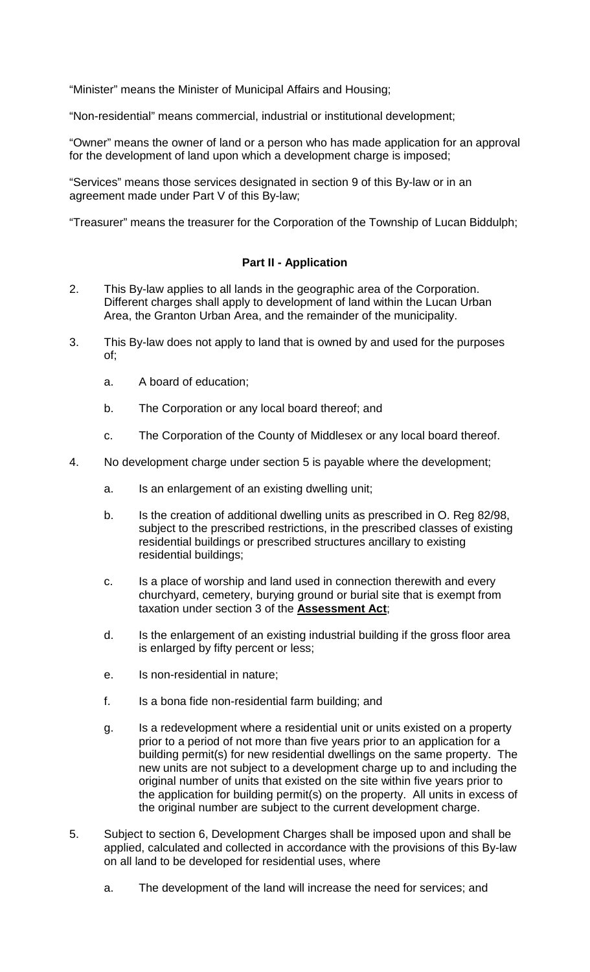"Minister" means the Minister of Municipal Affairs and Housing;

"Non-residential" means commercial, industrial or institutional development;

"Owner" means the owner of land or a person who has made application for an approval for the development of land upon which a development charge is imposed;

"Services" means those services designated in section 9 of this By-law or in an agreement made under Part V of this By-law;

"Treasurer" means the treasurer for the Corporation of the Township of Lucan Biddulph;

#### **Part II - Application**

- 2. This By-law applies to all lands in the geographic area of the Corporation. Different charges shall apply to development of land within the Lucan Urban Area, the Granton Urban Area, and the remainder of the municipality.
- 3. This By-law does not apply to land that is owned by and used for the purposes of;
	- a. A board of education;
	- b. The Corporation or any local board thereof; and
	- c. The Corporation of the County of Middlesex or any local board thereof.
- 4. No development charge under section 5 is payable where the development;
	- a. Is an enlargement of an existing dwelling unit;
	- b. Is the creation of additional dwelling units as prescribed in O. Reg 82/98, subject to the prescribed restrictions, in the prescribed classes of existing residential buildings or prescribed structures ancillary to existing residential buildings;
	- c. Is a place of worship and land used in connection therewith and every churchyard, cemetery, burying ground or burial site that is exempt from taxation under section 3 of the **Assessment Act**;
	- d. Is the enlargement of an existing industrial building if the gross floor area is enlarged by fifty percent or less;
	- e. Is non-residential in nature;
	- f. Is a bona fide non-residential farm building; and
	- g. Is a redevelopment where a residential unit or units existed on a property prior to a period of not more than five years prior to an application for a building permit(s) for new residential dwellings on the same property. The new units are not subject to a development charge up to and including the original number of units that existed on the site within five years prior to the application for building permit(s) on the property. All units in excess of the original number are subject to the current development charge.
- 5. Subject to section 6, Development Charges shall be imposed upon and shall be applied, calculated and collected in accordance with the provisions of this By-law on all land to be developed for residential uses, where
	- a. The development of the land will increase the need for services; and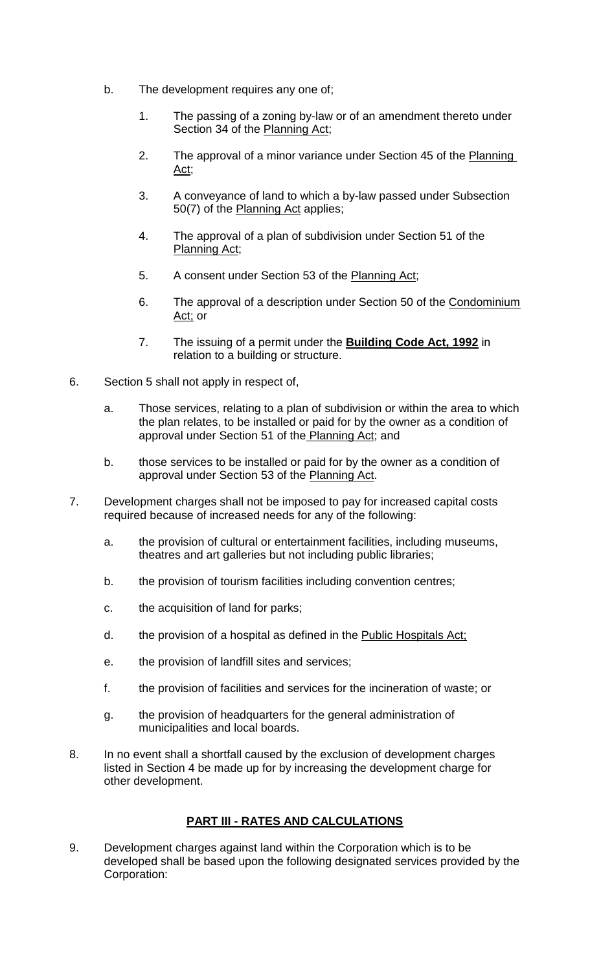- b. The development requires any one of;
	- 1. The passing of a zoning by-law or of an amendment thereto under Section 34 of the Planning Act;
	- 2. The approval of a minor variance under Section 45 of the Planning Act;
	- 3. A conveyance of land to which a by-law passed under Subsection 50(7) of the Planning Act applies;
	- 4. The approval of a plan of subdivision under Section 51 of the Planning Act;
	- 5. A consent under Section 53 of the Planning Act;
	- 6. The approval of a description under Section 50 of the Condominium Act; or
	- 7. The issuing of a permit under the **Building Code Act, 1992** in relation to a building or structure.
- 6. Section 5 shall not apply in respect of,
	- a. Those services, relating to a plan of subdivision or within the area to which the plan relates, to be installed or paid for by the owner as a condition of approval under Section 51 of the Planning Act; and
	- b. those services to be installed or paid for by the owner as a condition of approval under Section 53 of the Planning Act.
- 7. Development charges shall not be imposed to pay for increased capital costs required because of increased needs for any of the following:
	- a. the provision of cultural or entertainment facilities, including museums, theatres and art galleries but not including public libraries;
	- b. the provision of tourism facilities including convention centres;
	- c. the acquisition of land for parks;
	- d. the provision of a hospital as defined in the Public Hospitals Act;
	- e. the provision of landfill sites and services;
	- f. the provision of facilities and services for the incineration of waste; or
	- g. the provision of headquarters for the general administration of municipalities and local boards.
- 8. In no event shall a shortfall caused by the exclusion of development charges listed in Section 4 be made up for by increasing the development charge for other development.

# **PART III - RATES AND CALCULATIONS**

9. Development charges against land within the Corporation which is to be developed shall be based upon the following designated services provided by the Corporation: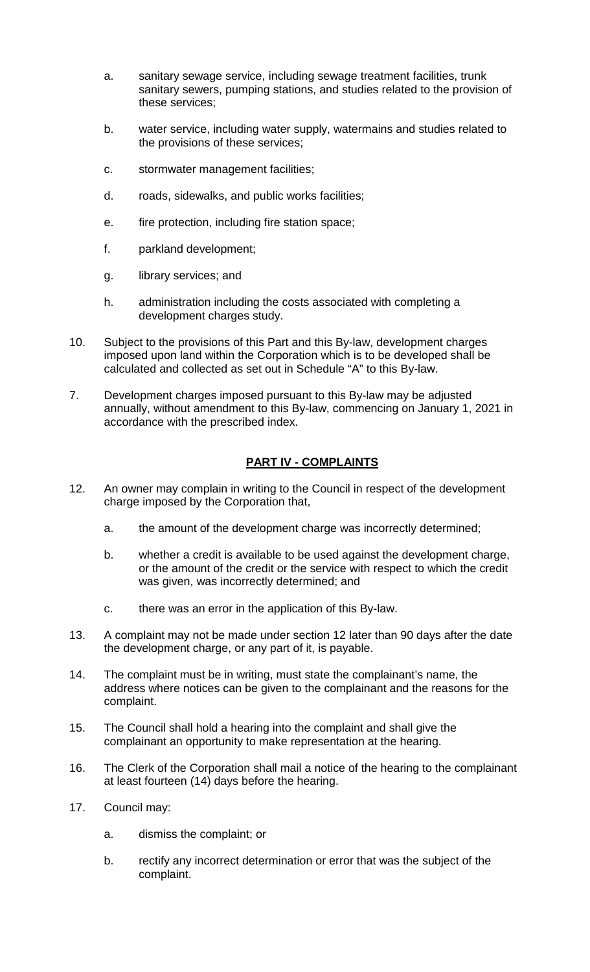- a. sanitary sewage service, including sewage treatment facilities, trunk sanitary sewers, pumping stations, and studies related to the provision of these services;
- b. water service, including water supply, watermains and studies related to the provisions of these services;
- c. stormwater management facilities;
- d. roads, sidewalks, and public works facilities;
- e. fire protection, including fire station space;
- f. parkland development;
- g. library services; and
- h. administration including the costs associated with completing a development charges study.
- 10. Subject to the provisions of this Part and this By-law, development charges imposed upon land within the Corporation which is to be developed shall be calculated and collected as set out in Schedule "A" to this By-law.
- 7. Development charges imposed pursuant to this By-law may be adjusted annually, without amendment to this By-law, commencing on January 1, 2021 in accordance with the prescribed index.

# **PART IV - COMPLAINTS**

- 12. An owner may complain in writing to the Council in respect of the development charge imposed by the Corporation that,
	- a. the amount of the development charge was incorrectly determined;
	- b. whether a credit is available to be used against the development charge, or the amount of the credit or the service with respect to which the credit was given, was incorrectly determined; and
	- c. there was an error in the application of this By-law.
- 13. A complaint may not be made under section 12 later than 90 days after the date the development charge, or any part of it, is payable.
- 14. The complaint must be in writing, must state the complainant's name, the address where notices can be given to the complainant and the reasons for the complaint.
- 15. The Council shall hold a hearing into the complaint and shall give the complainant an opportunity to make representation at the hearing.
- 16. The Clerk of the Corporation shall mail a notice of the hearing to the complainant at least fourteen (14) days before the hearing.
- 17. Council may:
	- a. dismiss the complaint; or
	- b. rectify any incorrect determination or error that was the subject of the complaint.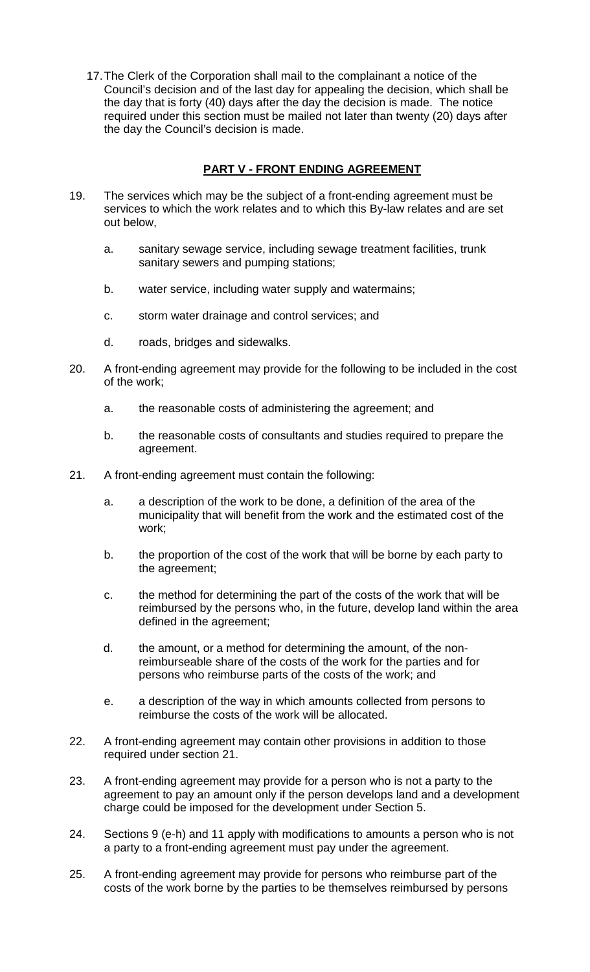17.The Clerk of the Corporation shall mail to the complainant a notice of the Council's decision and of the last day for appealing the decision, which shall be the day that is forty (40) days after the day the decision is made. The notice required under this section must be mailed not later than twenty (20) days after the day the Council's decision is made.

# **PART V - FRONT ENDING AGREEMENT**

- 19. The services which may be the subject of a front-ending agreement must be services to which the work relates and to which this By-law relates and are set out below,
	- a. sanitary sewage service, including sewage treatment facilities, trunk sanitary sewers and pumping stations;
	- b. water service, including water supply and watermains;
	- c. storm water drainage and control services; and
	- d. roads, bridges and sidewalks.
- 20. A front-ending agreement may provide for the following to be included in the cost of the work;
	- a. the reasonable costs of administering the agreement; and
	- b. the reasonable costs of consultants and studies required to prepare the agreement.
- 21. A front-ending agreement must contain the following:
	- a. a description of the work to be done, a definition of the area of the municipality that will benefit from the work and the estimated cost of the work;
	- b. the proportion of the cost of the work that will be borne by each party to the agreement;
	- c. the method for determining the part of the costs of the work that will be reimbursed by the persons who, in the future, develop land within the area defined in the agreement;
	- d. the amount, or a method for determining the amount, of the nonreimburseable share of the costs of the work for the parties and for persons who reimburse parts of the costs of the work; and
	- e. a description of the way in which amounts collected from persons to reimburse the costs of the work will be allocated.
- 22. A front-ending agreement may contain other provisions in addition to those required under section 21.
- 23. A front-ending agreement may provide for a person who is not a party to the agreement to pay an amount only if the person develops land and a development charge could be imposed for the development under Section 5.
- 24. Sections 9 (e-h) and 11 apply with modifications to amounts a person who is not a party to a front-ending agreement must pay under the agreement.
- 25. A front-ending agreement may provide for persons who reimburse part of the costs of the work borne by the parties to be themselves reimbursed by persons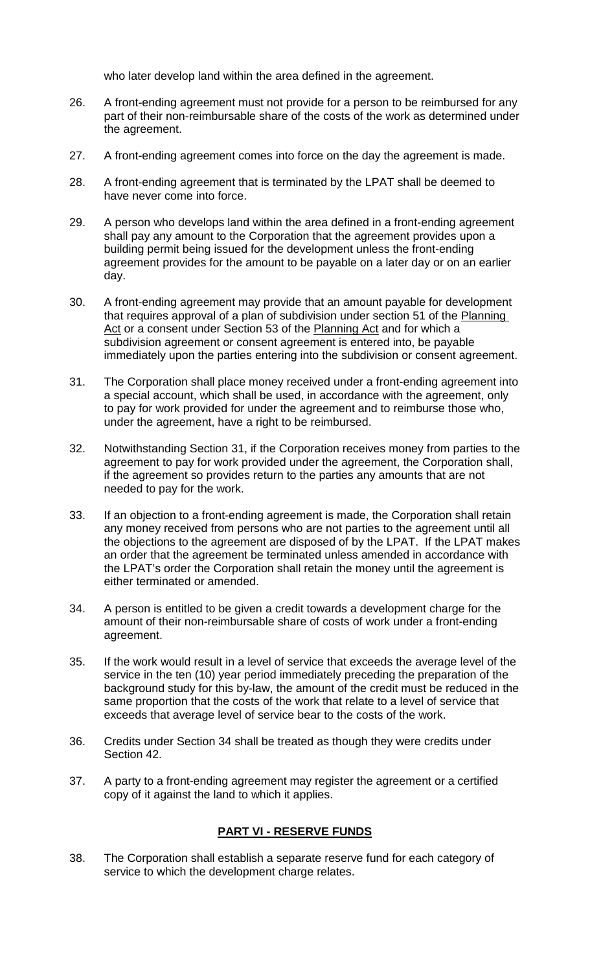who later develop land within the area defined in the agreement.

- 26. A front-ending agreement must not provide for a person to be reimbursed for any part of their non-reimbursable share of the costs of the work as determined under the agreement.
- 27. A front-ending agreement comes into force on the day the agreement is made.
- 28. A front-ending agreement that is terminated by the LPAT shall be deemed to have never come into force.
- 29. A person who develops land within the area defined in a front-ending agreement shall pay any amount to the Corporation that the agreement provides upon a building permit being issued for the development unless the front-ending agreement provides for the amount to be payable on a later day or on an earlier day.
- 30. A front-ending agreement may provide that an amount payable for development that requires approval of a plan of subdivision under section 51 of the Planning Act or a consent under Section 53 of the Planning Act and for which a subdivision agreement or consent agreement is entered into, be payable immediately upon the parties entering into the subdivision or consent agreement.
- 31. The Corporation shall place money received under a front-ending agreement into a special account, which shall be used, in accordance with the agreement, only to pay for work provided for under the agreement and to reimburse those who, under the agreement, have a right to be reimbursed.
- 32. Notwithstanding Section 31, if the Corporation receives money from parties to the agreement to pay for work provided under the agreement, the Corporation shall, if the agreement so provides return to the parties any amounts that are not needed to pay for the work.
- 33. If an objection to a front-ending agreement is made, the Corporation shall retain any money received from persons who are not parties to the agreement until all the objections to the agreement are disposed of by the LPAT. If the LPAT makes an order that the agreement be terminated unless amended in accordance with the LPAT's order the Corporation shall retain the money until the agreement is either terminated or amended.
- 34. A person is entitled to be given a credit towards a development charge for the amount of their non-reimbursable share of costs of work under a front-ending agreement.
- 35. If the work would result in a level of service that exceeds the average level of the service in the ten (10) year period immediately preceding the preparation of the background study for this by-law, the amount of the credit must be reduced in the same proportion that the costs of the work that relate to a level of service that exceeds that average level of service bear to the costs of the work.
- 36. Credits under Section 34 shall be treated as though they were credits under Section 42.
- 37. A party to a front-ending agreement may register the agreement or a certified copy of it against the land to which it applies.

#### **PART VI - RESERVE FUNDS**

38. The Corporation shall establish a separate reserve fund for each category of service to which the development charge relates.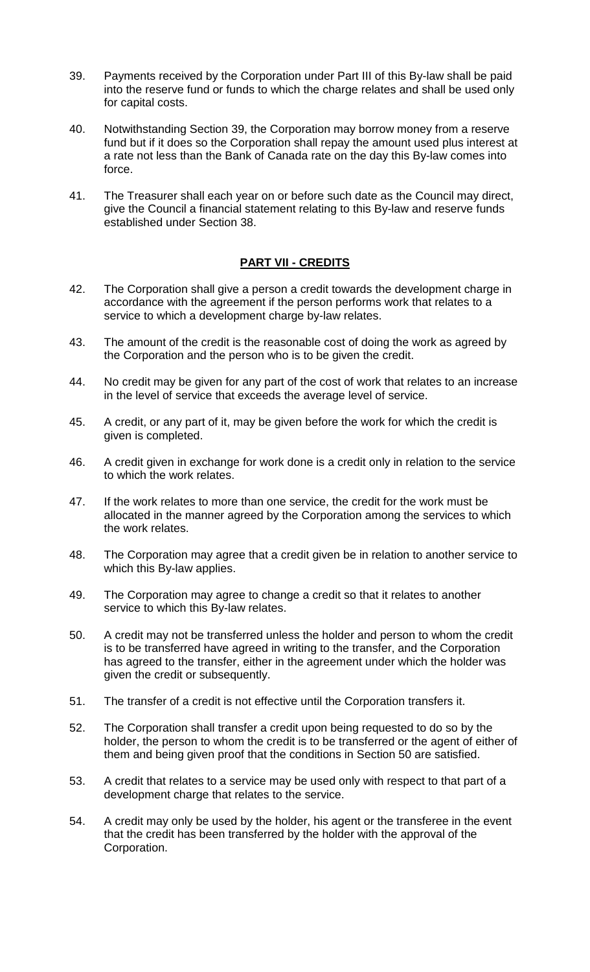- 39. Payments received by the Corporation under Part III of this By-law shall be paid into the reserve fund or funds to which the charge relates and shall be used only for capital costs.
- 40. Notwithstanding Section 39, the Corporation may borrow money from a reserve fund but if it does so the Corporation shall repay the amount used plus interest at a rate not less than the Bank of Canada rate on the day this By-law comes into force.
- 41. The Treasurer shall each year on or before such date as the Council may direct, give the Council a financial statement relating to this By-law and reserve funds established under Section 38.

# **PART VII - CREDITS**

- 42. The Corporation shall give a person a credit towards the development charge in accordance with the agreement if the person performs work that relates to a service to which a development charge by-law relates.
- 43. The amount of the credit is the reasonable cost of doing the work as agreed by the Corporation and the person who is to be given the credit.
- 44. No credit may be given for any part of the cost of work that relates to an increase in the level of service that exceeds the average level of service.
- 45. A credit, or any part of it, may be given before the work for which the credit is given is completed.
- 46. A credit given in exchange for work done is a credit only in relation to the service to which the work relates.
- 47. If the work relates to more than one service, the credit for the work must be allocated in the manner agreed by the Corporation among the services to which the work relates.
- 48. The Corporation may agree that a credit given be in relation to another service to which this By-law applies.
- 49. The Corporation may agree to change a credit so that it relates to another service to which this By-law relates.
- 50. A credit may not be transferred unless the holder and person to whom the credit is to be transferred have agreed in writing to the transfer, and the Corporation has agreed to the transfer, either in the agreement under which the holder was given the credit or subsequently.
- 51. The transfer of a credit is not effective until the Corporation transfers it.
- 52. The Corporation shall transfer a credit upon being requested to do so by the holder, the person to whom the credit is to be transferred or the agent of either of them and being given proof that the conditions in Section 50 are satisfied.
- 53. A credit that relates to a service may be used only with respect to that part of a development charge that relates to the service.
- 54. A credit may only be used by the holder, his agent or the transferee in the event that the credit has been transferred by the holder with the approval of the Corporation.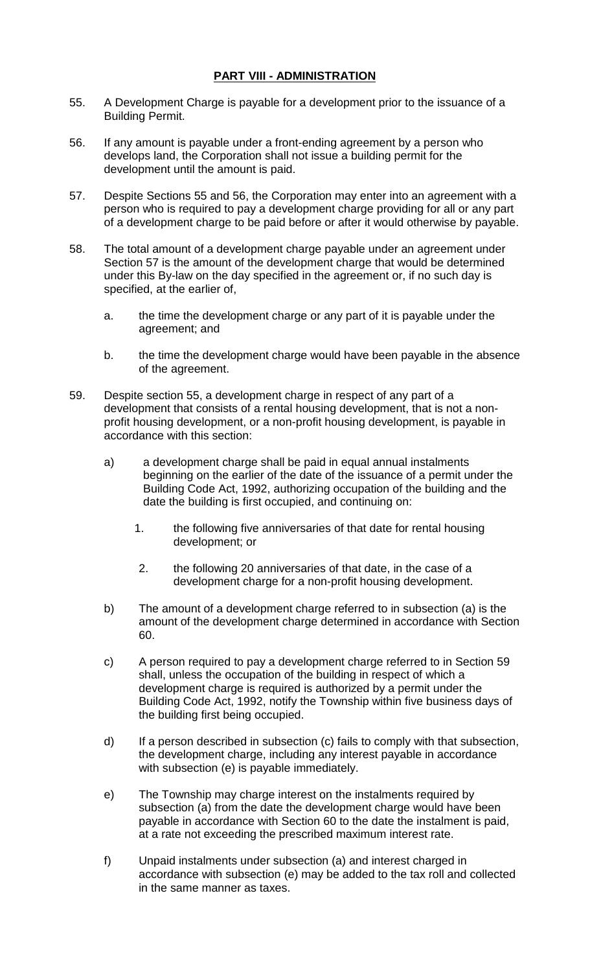#### **PART VIII - ADMINISTRATION**

- 55. A Development Charge is payable for a development prior to the issuance of a Building Permit.
- 56. If any amount is payable under a front-ending agreement by a person who develops land, the Corporation shall not issue a building permit for the development until the amount is paid.
- 57. Despite Sections 55 and 56, the Corporation may enter into an agreement with a person who is required to pay a development charge providing for all or any part of a development charge to be paid before or after it would otherwise by payable.
- 58. The total amount of a development charge payable under an agreement under Section 57 is the amount of the development charge that would be determined under this By-law on the day specified in the agreement or, if no such day is specified, at the earlier of,
	- a. the time the development charge or any part of it is payable under the agreement; and
	- b. the time the development charge would have been payable in the absence of the agreement.
- 59. Despite section 55, a development charge in respect of any part of a development that consists of a rental housing development, that is not a nonprofit housing development, or a non-profit housing development, is payable in accordance with this section:
	- a) a development charge shall be paid in equal annual instalments beginning on the earlier of the date of the issuance of a permit under the Building Code Act, 1992, authorizing occupation of the building and the date the building is first occupied, and continuing on:
		- 1. the following five anniversaries of that date for rental housing development; or
		- 2. the following 20 anniversaries of that date, in the case of a development charge for a non-profit housing development.
	- b) The amount of a development charge referred to in subsection (a) is the amount of the development charge determined in accordance with Section 60.
	- c) A person required to pay a development charge referred to in Section 59 shall, unless the occupation of the building in respect of which a development charge is required is authorized by a permit under the Building Code Act, 1992, notify the Township within five business days of the building first being occupied.
	- d) If a person described in subsection (c) fails to comply with that subsection, the development charge, including any interest payable in accordance with subsection (e) is payable immediately.
	- e) The Township may charge interest on the instalments required by subsection (a) from the date the development charge would have been payable in accordance with Section 60 to the date the instalment is paid, at a rate not exceeding the prescribed maximum interest rate.
	- f) Unpaid instalments under subsection (a) and interest charged in accordance with subsection (e) may be added to the tax roll and collected in the same manner as taxes.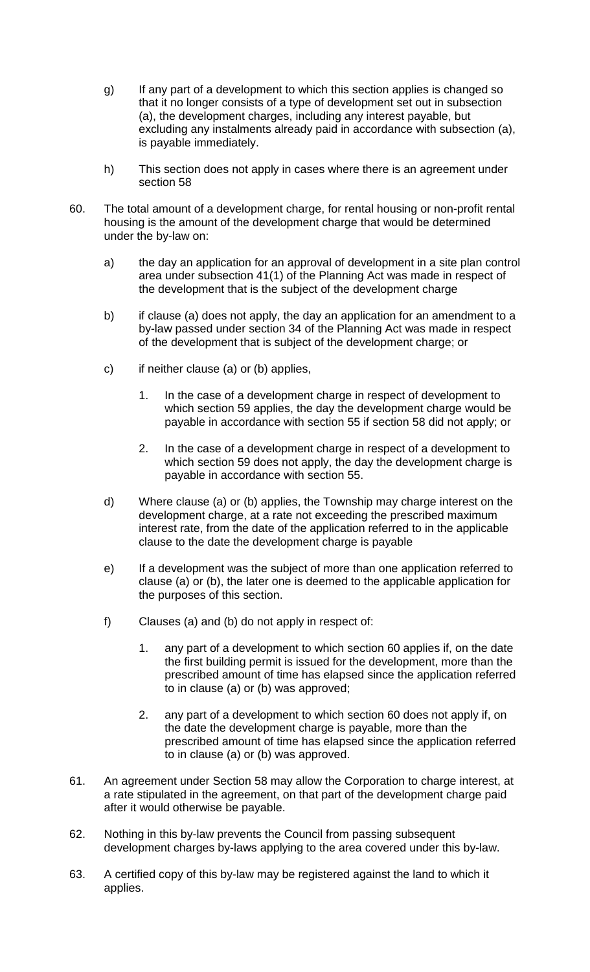- g) If any part of a development to which this section applies is changed so that it no longer consists of a type of development set out in subsection (a), the development charges, including any interest payable, but excluding any instalments already paid in accordance with subsection (a), is payable immediately.
- h) This section does not apply in cases where there is an agreement under section 58
- 60. The total amount of a development charge, for rental housing or non-profit rental housing is the amount of the development charge that would be determined under the by-law on:
	- a) the day an application for an approval of development in a site plan control area under subsection 41(1) of the Planning Act was made in respect of the development that is the subject of the development charge
	- b) if clause (a) does not apply, the day an application for an amendment to a by-law passed under section 34 of the Planning Act was made in respect of the development that is subject of the development charge; or
	- c) if neither clause (a) or (b) applies,
		- 1. In the case of a development charge in respect of development to which section 59 applies, the day the development charge would be payable in accordance with section 55 if section 58 did not apply; or
		- 2. In the case of a development charge in respect of a development to which section 59 does not apply, the day the development charge is payable in accordance with section 55.
	- d) Where clause (a) or (b) applies, the Township may charge interest on the development charge, at a rate not exceeding the prescribed maximum interest rate, from the date of the application referred to in the applicable clause to the date the development charge is payable
	- e) If a development was the subject of more than one application referred to clause (a) or (b), the later one is deemed to the applicable application for the purposes of this section.
	- f) Clauses (a) and (b) do not apply in respect of:
		- 1. any part of a development to which section 60 applies if, on the date the first building permit is issued for the development, more than the prescribed amount of time has elapsed since the application referred to in clause (a) or (b) was approved;
		- 2. any part of a development to which section 60 does not apply if, on the date the development charge is payable, more than the prescribed amount of time has elapsed since the application referred to in clause (a) or (b) was approved.
- 61. An agreement under Section 58 may allow the Corporation to charge interest, at a rate stipulated in the agreement, on that part of the development charge paid after it would otherwise be payable.
- 62. Nothing in this by-law prevents the Council from passing subsequent development charges by-laws applying to the area covered under this by-law.
- 63. A certified copy of this by-law may be registered against the land to which it applies.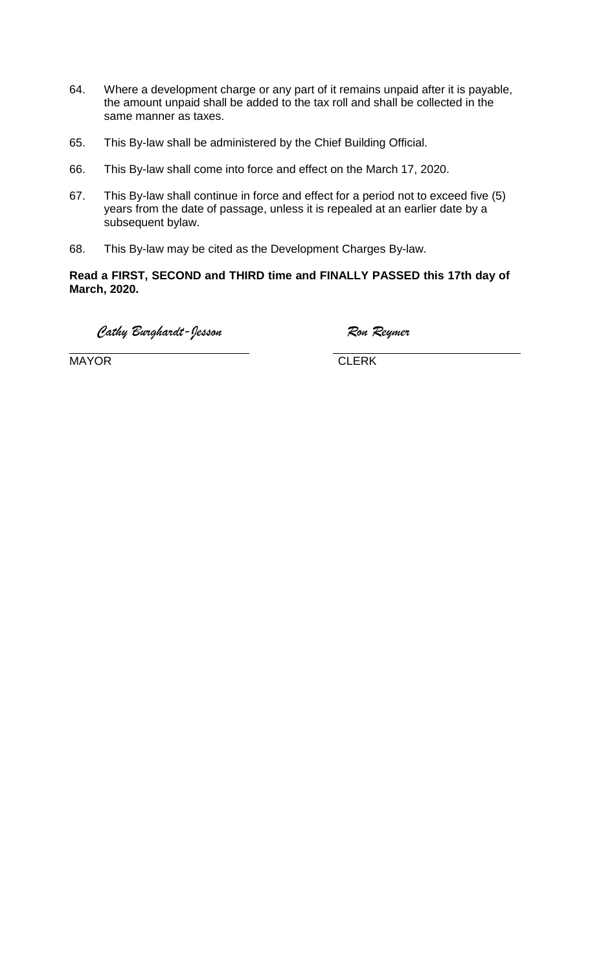- 64. Where a development charge or any part of it remains unpaid after it is payable, the amount unpaid shall be added to the tax roll and shall be collected in the same manner as taxes.
- 65. This By-law shall be administered by the Chief Building Official.
- 66. This By-law shall come into force and effect on the March 17, 2020.
- 67. This By-law shall continue in force and effect for a period not to exceed five (5) years from the date of passage, unless it is repealed at an earlier date by a subsequent bylaw.
- 68. This By-law may be cited as the Development Charges By-law.

**Read a FIRST, SECOND and THIRD time and FINALLY PASSED this 17th day of March, 2020.**

*Cathy Burghardt-Jesson Ron Reymer*

MAYOR **CLERK** 

 $\overline{a}$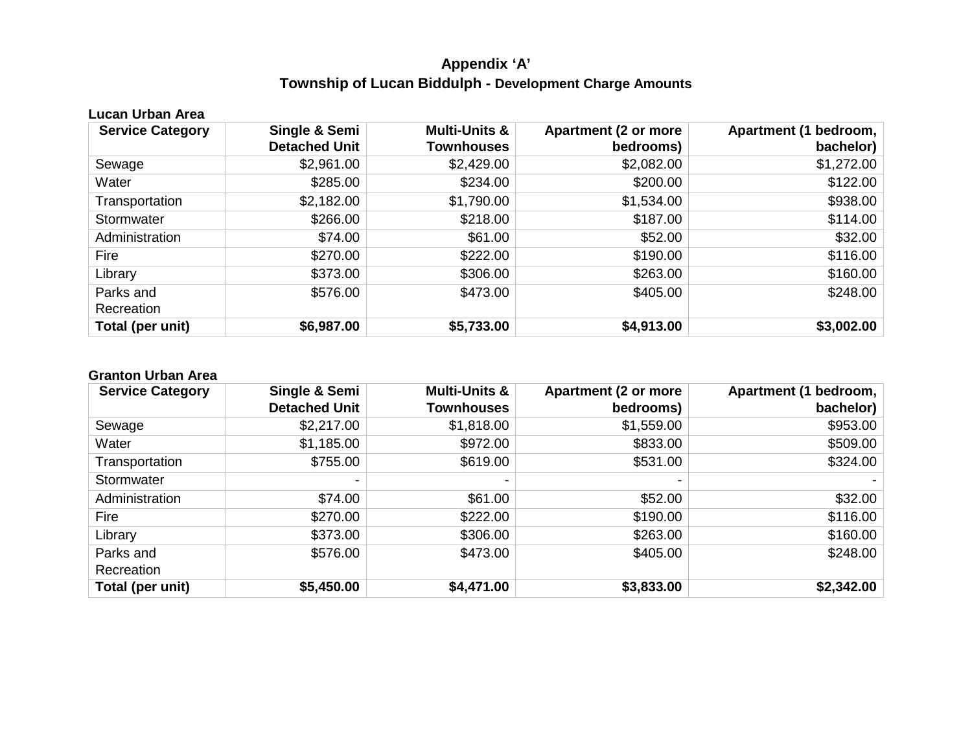# **Appendix 'A' Township of Lucan Biddulph - Development Charge Amounts**

| Lucan Urban Area        |                      |                          |                             |                       |  |  |  |
|-------------------------|----------------------|--------------------------|-----------------------------|-----------------------|--|--|--|
| <b>Service Category</b> | Single & Semi        | <b>Multi-Units &amp;</b> | <b>Apartment (2 or more</b> | Apartment (1 bedroom, |  |  |  |
|                         | <b>Detached Unit</b> | <b>Townhouses</b>        | bedrooms)                   | bachelor)             |  |  |  |
| Sewage                  | \$2,961.00           | \$2,429.00               | \$2,082.00                  | \$1,272.00            |  |  |  |
| Water                   | \$285.00             | \$234.00                 | \$200.00                    | \$122.00              |  |  |  |
| Transportation          | \$2,182.00           | \$1,790.00               | \$1,534.00                  | \$938.00              |  |  |  |
| Stormwater              | \$266.00             | \$218.00                 | \$187.00                    | \$114.00              |  |  |  |
| Administration          | \$74.00              | \$61.00                  | \$52.00                     | \$32.00               |  |  |  |
| Fire                    | \$270.00             | \$222.00                 | \$190.00                    | \$116.00              |  |  |  |
| Library                 | \$373.00             | \$306.00                 | \$263.00                    | \$160.00              |  |  |  |
| Parks and               | \$576.00             | \$473.00                 | \$405.00                    | \$248.00              |  |  |  |
| Recreation              |                      |                          |                             |                       |  |  |  |
| Total (per unit)        | \$6,987.00           | \$5,733.00               | \$4,913.00                  | \$3,002.00            |  |  |  |

#### **Granton Urban Area**

| <b>Service Category</b> | Single & Semi        | <b>Multi-Units &amp;</b> | <b>Apartment (2 or more</b> | Apartment (1 bedroom, |
|-------------------------|----------------------|--------------------------|-----------------------------|-----------------------|
|                         | <b>Detached Unit</b> | <b>Townhouses</b>        | bedrooms)                   | bachelor)             |
| Sewage                  | \$2,217.00           | \$1,818.00               | \$1,559.00                  | \$953.00              |
| Water                   | \$1,185.00           | \$972.00                 | \$833.00                    | \$509.00              |
| Transportation          | \$755.00             | \$619.00                 | \$531.00                    | \$324.00              |
| Stormwater              |                      |                          |                             |                       |
| Administration          | \$74.00              | \$61.00                  | \$52.00                     | \$32.00               |
| Fire                    | \$270.00             | \$222.00                 | \$190.00                    | \$116.00              |
| Library                 | \$373.00             | \$306.00                 | \$263.00                    | \$160.00              |
| Parks and               | \$576.00             | \$473.00                 | \$405.00                    | \$248.00              |
| Recreation              |                      |                          |                             |                       |
| Total (per unit)        | \$5,450.00           | \$4,471.00               | \$3,833.00                  | \$2,342.00            |